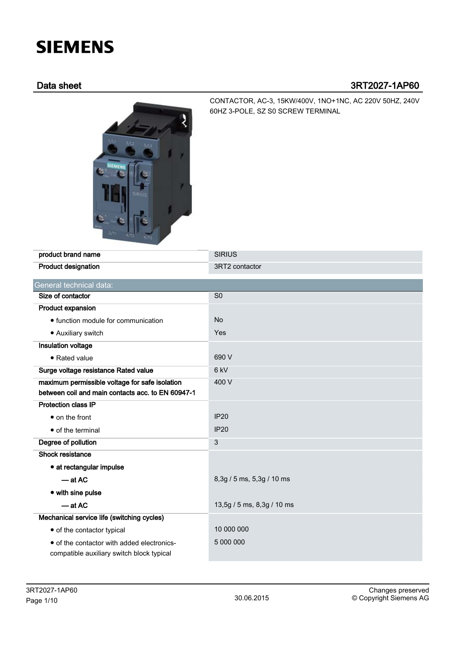# **SIEMENS**

# Data sheet 3RT2027-1AP60



CONTACTOR, AC-3, 15KW/400V, 1NO+1NC, AC 220V 50HZ, 240V 60HZ 3-POLE, SZ S0 SCREW TERMINAL

| product brand name                                                                      | <b>SIRIUS</b>              |
|-----------------------------------------------------------------------------------------|----------------------------|
| <b>Product designation</b>                                                              | 3RT2 contactor             |
| General technical data:                                                                 |                            |
| Size of contactor                                                                       | S <sub>0</sub>             |
| Product expansion                                                                       |                            |
| • function module for communication                                                     | <b>No</b>                  |
| • Auxiliary switch                                                                      | Yes                        |
| Insulation voltage                                                                      |                            |
| • Rated value                                                                           | 690 V                      |
| Surge voltage resistance Rated value                                                    | 6 <sub>kV</sub>            |
| maximum permissible voltage for safe isolation                                          | 400 V                      |
| between coil and main contacts acc. to EN 60947-1                                       |                            |
| <b>Protection class IP</b>                                                              |                            |
| • on the front                                                                          | <b>IP20</b>                |
| • of the terminal                                                                       | <b>IP20</b>                |
| Degree of pollution                                                                     | 3                          |
| Shock resistance                                                                        |                            |
| • at rectangular impulse                                                                |                            |
| $-$ at AC                                                                               | 8,3g / 5 ms, 5,3g / 10 ms  |
| • with sine pulse                                                                       |                            |
| $-$ at AC                                                                               | 13,5g / 5 ms, 8,3g / 10 ms |
| Mechanical service life (switching cycles)                                              |                            |
| • of the contactor typical                                                              | 10 000 000                 |
| • of the contactor with added electronics-<br>compatible auxiliary switch block typical | 5 000 000                  |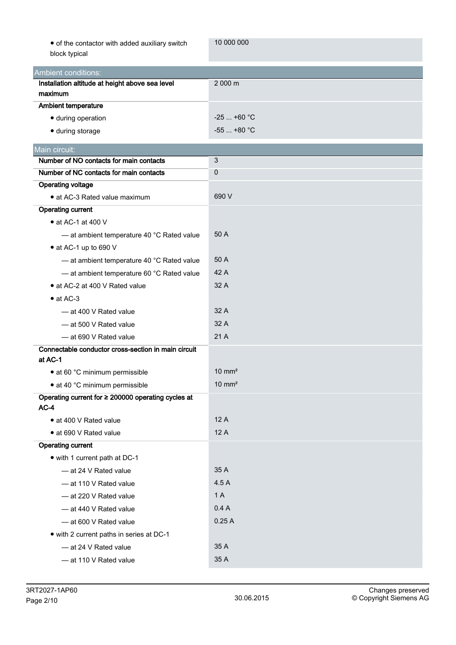| • of the contactor with added auxiliary switch |  |
|------------------------------------------------|--|
| block typical                                  |  |

10 000 000

| block typical                                                |                   |
|--------------------------------------------------------------|-------------------|
| <b>Ambient conditions:</b>                                   |                   |
| Installation altitude at height above sea level              | 2 000 m           |
| maximum                                                      |                   |
| <b>Ambient temperature</b>                                   |                   |
| · during operation                                           | $-25$ +60 °C      |
| · during storage                                             | $-55$ +80 °C      |
| Main circuit:                                                |                   |
| Number of NO contacts for main contacts                      | 3                 |
| Number of NC contacts for main contacts                      | $\mathbf 0$       |
| <b>Operating voltage</b>                                     |                   |
| • at AC-3 Rated value maximum                                | 690 V             |
| <b>Operating current</b>                                     |                   |
| $\bullet$ at AC-1 at 400 V                                   |                   |
| - at ambient temperature 40 °C Rated value                   | 50 A              |
| • at AC-1 up to 690 V                                        |                   |
| - at ambient temperature 40 °C Rated value                   | 50 A              |
| - at ambient temperature 60 °C Rated value                   | 42 A              |
| • at AC-2 at 400 V Rated value                               | 32 A              |
| $\bullet$ at AC-3                                            |                   |
| - at 400 V Rated value                                       | 32 A              |
| — at 500 V Rated value                                       | 32 A              |
| $-$ at 690 V Rated value                                     | 21 A              |
| Connectable conductor cross-section in main circuit          |                   |
| at AC-1                                                      |                   |
| • at 60 °C minimum permissible                               | $10 \text{ mm}^2$ |
| • at 40 °C minimum permissible                               | $10 \text{ mm}^2$ |
| Operating current for ≥ 200000 operating cycles at<br>$AC-4$ |                   |
| · at 400 V Rated value                                       | 12 A              |
| • at 690 V Rated value                                       | 12 A              |
| <b>Operating current</b>                                     |                   |
| • with 1 current path at DC-1                                |                   |
| - at 24 V Rated value                                        | 35 A              |
| - at 110 V Rated value                                       | 4.5 A             |
| - at 220 V Rated value                                       | 1 A               |
| $-$ at 440 V Rated value                                     | 0.4A              |
| $-$ at 600 V Rated value                                     | 0.25A             |
| • with 2 current paths in series at DC-1                     |                   |
| - at 24 V Rated value                                        | 35 A              |
| - at 110 V Rated value                                       | 35 A              |
|                                                              |                   |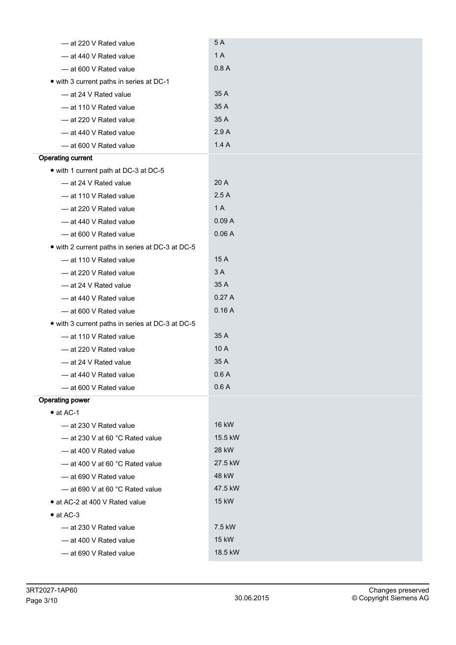| - at 220 V Rated value                           | 5A           |
|--------------------------------------------------|--------------|
| - at 440 V Rated value                           | 1 A          |
| - at 600 V Rated value                           | 0.8A         |
| • with 3 current paths in series at DC-1         |              |
| - at 24 V Rated value                            | 35 A         |
| - at 110 V Rated value                           | 35 A         |
| - at 220 V Rated value                           | 35 A         |
| - at 440 V Rated value                           | 2.9A         |
| - at 600 V Rated value                           | 1.4A         |
| <b>Operating current</b>                         |              |
| • with 1 current path at DC-3 at DC-5            |              |
| - at 24 V Rated value                            | 20 A         |
| - at 110 V Rated value                           | 2.5A         |
| - at 220 V Rated value                           | 1A           |
| - at 440 V Rated value                           | 0.09A        |
| - at 600 V Rated value                           | 0.06A        |
| • with 2 current paths in series at DC-3 at DC-5 |              |
| - at 110 V Rated value                           | 15 A         |
| - at 220 V Rated value                           | 3 A          |
| - at 24 V Rated value                            | 35 A         |
| - at 440 V Rated value                           | 0.27A        |
| - at 600 V Rated value                           | 0.16A        |
| • with 3 current paths in series at DC-3 at DC-5 |              |
| - at 110 V Rated value                           | 35 A         |
| - at 220 V Rated value                           | 10 A         |
| - at 24 V Rated value                            | 35 A         |
| - at 440 V Rated value                           | 0.6A         |
| - at 600 V Rated value                           | 0.6A         |
| <b>Operating power</b>                           |              |
| $\bullet$ at AC-1                                |              |
| $-$ at 230 V Rated value                         | <b>16 kW</b> |
| $-$ at 230 V at 60 °C Rated value                | 15.5 kW      |
| - at 400 V Rated value                           | 28 kW        |
| - at 400 V at 60 °C Rated value                  | 27.5 kW      |
| $-$ at 690 V Rated value                         | 48 kW        |
| $-$ at 690 V at 60 °C Rated value                | 47.5 kW      |
| • at AC-2 at 400 V Rated value                   | 15 kW        |
| $\bullet$ at AC-3                                |              |
| - at 230 V Rated value                           | 7.5 kW       |
| $-$ at 400 V Rated value                         | 15 kW        |
| - at 690 V Rated value                           | 18.5 kW      |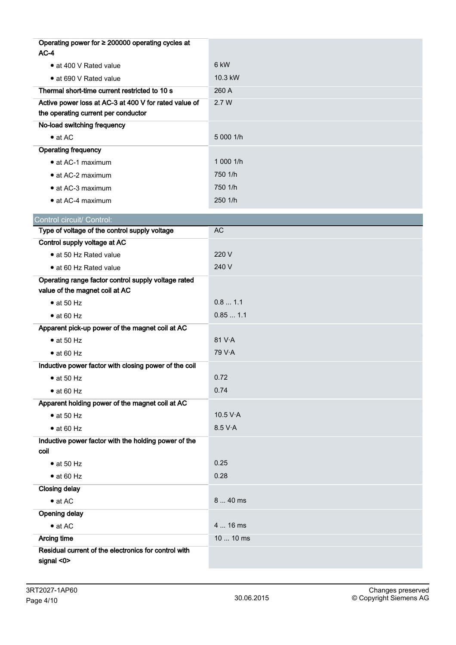| Operating power for ≥ 200000 operating cycles at      |           |
|-------------------------------------------------------|-----------|
| $AC-4$                                                |           |
| • at 400 V Rated value                                | 6 kW      |
| · at 690 V Rated value                                | 10.3 kW   |
| Thermal short-time current restricted to 10 s         | 260 A     |
| Active power loss at AC-3 at 400 V for rated value of | 2.7 W     |
| the operating current per conductor                   |           |
| No-load switching frequency                           |           |
| $\bullet$ at AC                                       | 5 000 1/h |
| <b>Operating frequency</b>                            |           |
| • at AC-1 maximum                                     | 1 000 1/h |
| • at AC-2 maximum                                     | 750 1/h   |
| • at AC-3 maximum                                     | 750 1/h   |
| • at AC-4 maximum                                     | 250 1/h   |
| Control circuit/ Control:                             |           |
| Type of voltage of the control supply voltage         | <b>AC</b> |
| Control supply voltage at AC                          |           |
| • at 50 Hz Rated value                                | 220 V     |
| • at 60 Hz Rated value                                | 240 V     |
| Operating range factor control supply voltage rated   |           |
| value of the magnet coil at AC                        |           |
| $\bullet$ at 50 Hz                                    | 0.81.1    |
| $\bullet$ at 60 Hz                                    | 0.851.1   |
| Apparent pick-up power of the magnet coil at AC       |           |
| $\bullet$ at 50 Hz                                    | 81 V.A    |
| $\bullet$ at 60 Hz                                    | 79 V·A    |
| Inductive power factor with closing power of the coil |           |
| $\bullet$ at 50 Hz                                    | 0.72      |
| $\bullet$ at 60 Hz                                    | 0.74      |
| Apparent holding power of the magnet coil at AC       |           |
| $\bullet$ at 50 Hz                                    | 10.5 V·A  |
| $\bullet$ at 60 Hz                                    | 8.5 V·A   |
| Inductive power factor with the holding power of the  |           |
| coil                                                  |           |
| $\bullet$ at 50 Hz                                    | 0.25      |
| $\bullet$ at 60 Hz                                    | 0.28      |
| <b>Closing delay</b>                                  |           |
| $\bullet$ at AC                                       | 8  40 ms  |
| <b>Opening delay</b>                                  |           |
| $\bullet$ at AC                                       | 4  16 ms  |
| <b>Arcing time</b>                                    | 10  10 ms |
| Residual current of the electronics for control with  |           |
| signal <0>                                            |           |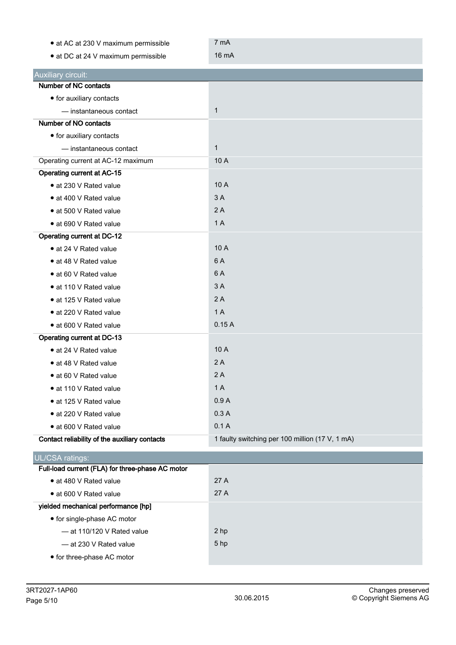| • at AC at 230 V maximum permissible             | 7 mA                                            |
|--------------------------------------------------|-------------------------------------------------|
| • at DC at 24 V maximum permissible              | 16 mA                                           |
| Auxiliary circuit:                               |                                                 |
| Number of NC contacts                            |                                                 |
| • for auxiliary contacts                         |                                                 |
| - instantaneous contact                          | $\mathbf 1$                                     |
| Number of NO contacts                            |                                                 |
| • for auxiliary contacts                         |                                                 |
| - instantaneous contact                          | $\mathbf{1}$                                    |
| Operating current at AC-12 maximum               | 10 A                                            |
| <b>Operating current at AC-15</b>                |                                                 |
| • at 230 V Rated value                           | 10 A                                            |
| • at 400 V Rated value                           | 3A                                              |
| • at 500 V Rated value                           | 2A                                              |
| • at 690 V Rated value                           | 1 A                                             |
| <b>Operating current at DC-12</b>                |                                                 |
| • at 24 V Rated value                            | 10 A                                            |
| • at 48 V Rated value                            | 6 A                                             |
| • at 60 V Rated value                            | 6A                                              |
| • at 110 V Rated value                           | 3A                                              |
| • at 125 V Rated value                           | 2A                                              |
| • at 220 V Rated value                           | 1A                                              |
| • at 600 V Rated value                           | 0.15A                                           |
| Operating current at DC-13                       |                                                 |
| • at 24 V Rated value                            | 10A                                             |
| • at 48 V Rated value                            | 2A                                              |
| • at 60 V Rated value                            | 2A                                              |
| • at 110 V Rated value                           | 1A                                              |
| • at 125 V Rated value                           | 0.9A                                            |
| • at 220 V Rated value                           | 0.3A                                            |
| • at 600 V Rated value                           | 0.1A                                            |
| Contact reliability of the auxiliary contacts    | 1 faulty switching per 100 million (17 V, 1 mA) |
| UL/CSA ratings:                                  |                                                 |
| Full-load current (FLA) for three-phase AC motor |                                                 |
| · at 480 V Rated value                           | 27 A                                            |
| • at 600 V Rated value                           | 27 A                                            |
| yielded mechanical performance [hp]              |                                                 |
| • for single-phase AC motor                      |                                                 |
| - at 110/120 V Rated value                       | 2 hp                                            |
| - at 230 V Rated value                           | 5 hp                                            |
| • for three-phase AC motor                       |                                                 |
|                                                  |                                                 |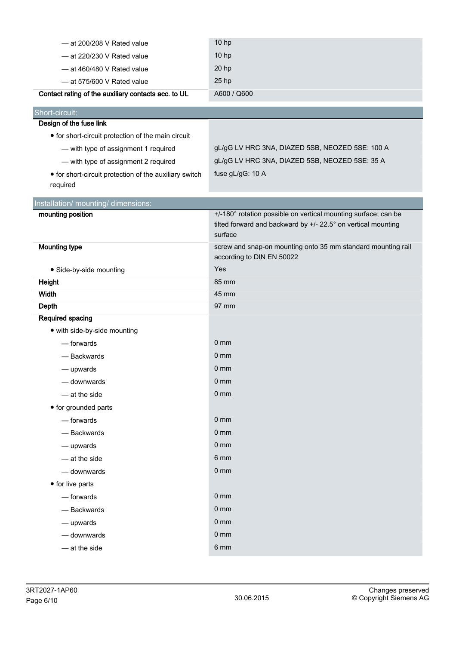| $-$ at 200/208 V Rated value                           | 10 hp                                                                                                                                      |  |  |
|--------------------------------------------------------|--------------------------------------------------------------------------------------------------------------------------------------------|--|--|
| $-$ at 220/230 V Rated value                           | 10 hp                                                                                                                                      |  |  |
| $-$ at 460/480 V Rated value                           | 20 hp                                                                                                                                      |  |  |
| - at 575/600 V Rated value                             | 25 hp                                                                                                                                      |  |  |
| Contact rating of the auxiliary contacts acc. to UL    | A600 / Q600                                                                                                                                |  |  |
| Short-circuit:                                         |                                                                                                                                            |  |  |
| Design of the fuse link                                |                                                                                                                                            |  |  |
| • for short-circuit protection of the main circuit     |                                                                                                                                            |  |  |
| - with type of assignment 1 required                   | gL/gG LV HRC 3NA, DIAZED 5SB, NEOZED 5SE: 100 A                                                                                            |  |  |
| - with type of assignment 2 required                   | gL/gG LV HRC 3NA, DIAZED 5SB, NEOZED 5SE: 35 A                                                                                             |  |  |
| • for short-circuit protection of the auxiliary switch | fuse gL/gG: 10 A                                                                                                                           |  |  |
| required                                               |                                                                                                                                            |  |  |
| Installation/ mounting/ dimensions:                    |                                                                                                                                            |  |  |
| mounting position                                      | +/-180° rotation possible on vertical mounting surface; can be<br>tilted forward and backward by +/- 22.5° on vertical mounting<br>surface |  |  |
| <b>Mounting type</b>                                   | screw and snap-on mounting onto 35 mm standard mounting rail<br>according to DIN EN 50022                                                  |  |  |
| · Side-by-side mounting                                | Yes                                                                                                                                        |  |  |
| <b>Height</b>                                          | 85 mm                                                                                                                                      |  |  |
| Width                                                  | 45 mm                                                                                                                                      |  |  |
| <b>Depth</b>                                           | 97 mm                                                                                                                                      |  |  |
| Required spacing                                       |                                                                                                                                            |  |  |
| • with side-by-side mounting                           |                                                                                                                                            |  |  |
| — forwards                                             | $0 \text{ mm}$                                                                                                                             |  |  |
| - Backwards                                            | $0 \text{ mm}$                                                                                                                             |  |  |
| - upwards                                              | 0 <sub>mm</sub>                                                                                                                            |  |  |
| - downwards                                            | 0 <sub>mm</sub>                                                                                                                            |  |  |
| - at the side                                          | 0 <sub>mm</sub>                                                                                                                            |  |  |
| • for grounded parts                                   |                                                                                                                                            |  |  |
| — forwards                                             | 0 <sub>mm</sub>                                                                                                                            |  |  |
| - Backwards                                            | 0 <sub>mm</sub>                                                                                                                            |  |  |
| - upwards                                              | 0 <sub>mm</sub>                                                                                                                            |  |  |
| - at the side                                          | 6 mm                                                                                                                                       |  |  |
| - downwards                                            | 0 <sub>mm</sub>                                                                                                                            |  |  |
| • for live parts                                       |                                                                                                                                            |  |  |
| - forwards                                             | 0 <sub>mm</sub>                                                                                                                            |  |  |
| - Backwards                                            | 0 <sub>mm</sub>                                                                                                                            |  |  |
| - upwards                                              | 0 <sub>mm</sub>                                                                                                                            |  |  |
| - downwards                                            | 0 <sub>mm</sub>                                                                                                                            |  |  |
| - at the side                                          | 6 mm                                                                                                                                       |  |  |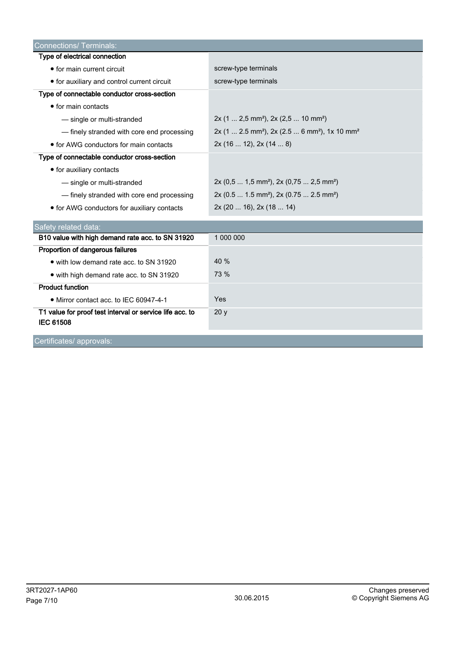| <b>Connections/ Terminals:</b>                                               |                                                                                   |
|------------------------------------------------------------------------------|-----------------------------------------------------------------------------------|
| Type of electrical connection                                                |                                                                                   |
| • for main current circuit                                                   | screw-type terminals                                                              |
| • for auxiliary and control current circuit                                  | screw-type terminals                                                              |
| Type of connectable conductor cross-section                                  |                                                                                   |
| • for main contacts                                                          |                                                                                   |
| - single or multi-stranded                                                   | $2x$ (1  2,5 mm <sup>2</sup> ), $2x$ (2,5  10 mm <sup>2</sup> )                   |
| - finely stranded with core end processing                                   | 2x (1  2.5 mm <sup>2</sup> ), 2x (2.5  6 mm <sup>2</sup> ), 1x 10 mm <sup>2</sup> |
| • for AWG conductors for main contacts                                       | 2x(1612), 2x(148)                                                                 |
| Type of connectable conductor cross-section                                  |                                                                                   |
| • for auxiliary contacts                                                     |                                                                                   |
| - single or multi-stranded                                                   | $2x (0,5  1,5 mm2)$ , $2x (0,75  2,5 mm2)$                                        |
| - finely stranded with core end processing                                   | 2x (0.5  1.5 mm <sup>2</sup> ), 2x (0.75  2.5 mm <sup>2</sup> )                   |
| • for AWG conductors for auxiliary contacts                                  | 2x (20  16), 2x (18  14)                                                          |
| Safety related data:                                                         |                                                                                   |
| B10 value with high demand rate acc. to SN 31920                             | 1 000 000                                                                         |
| Proportion of dangerous failures                                             |                                                                                   |
| • with low demand rate acc. to SN 31920                                      | 40 %                                                                              |
| • with high demand rate acc. to SN 31920                                     | 73 %                                                                              |
| <b>Product function</b>                                                      |                                                                                   |
| • Mirror contact acc. to IEC 60947-4-1                                       | Yes                                                                               |
| T1 value for proof test interval or service life acc. to<br><b>IEC 61508</b> | 20y                                                                               |
| Certificates/ approvals:                                                     |                                                                                   |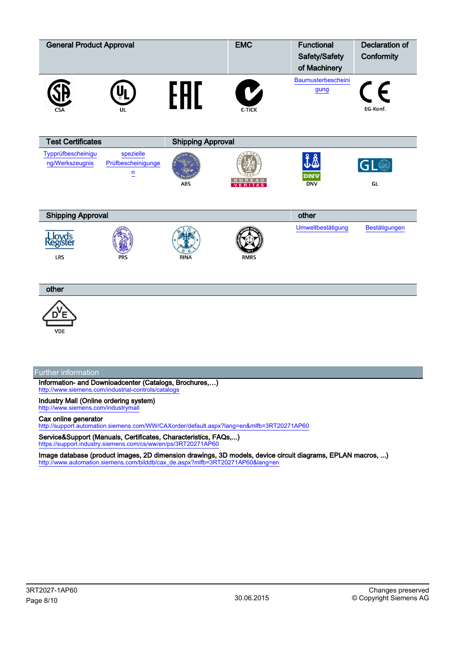| <b>General Product Approval</b>       |                                                   |                          | <b>EMC</b>                    | <b>Functional</b><br>Safety/Safety<br>of Machinery | <b>Declaration of</b><br>Conformity |
|---------------------------------------|---------------------------------------------------|--------------------------|-------------------------------|----------------------------------------------------|-------------------------------------|
|                                       | u                                                 | FHI_                     | $\mathbf C$<br>C-TICK         | Baumusterbescheini<br>gung                         | $\epsilon$<br>EG-Konf.              |
| <b>Test Certificates</b>              |                                                   | <b>Shipping Approval</b> |                               |                                                    |                                     |
| Typprüfbescheinigu<br>ng/Werkszeugnis | spezielle<br>Prüfbescheinigunge<br>$\overline{u}$ | <b>ABS</b>               | <b>REAU</b><br><b>VERITAS</b> | DNV<br><b>DNV</b>                                  | GL                                  |
| <b>Shipping Approval</b>              |                                                   |                          |                               | other                                              |                                     |
| loyd's<br>egister<br><b>LRS</b>       | <b>PRS</b>                                        | <b>RINA</b>              | <b>RMRS</b>                   | Umweltbestätigung                                  | Bestätigungen                       |
| other                                 |                                                   |                          |                               |                                                    |                                     |
|                                       |                                                   |                          |                               |                                                    |                                     |

**VDE** 

## Further information

Information- and Downloadcenter (Catalogs, Brochures,…) <http://www.siemens.com/industrial-controls/catalogs>

Industry Mall (Online ordering system) <http://www.siemens.com/industrymall>

### Cax online generator

<http://support.automation.siemens.com/WW/CAXorder/default.aspx?lang=en&mlfb=3RT20271AP60>

Service&Support (Manuals, Certificates, Characteristics, FAQs,...) <https://support.industry.siemens.com/cs/ww/en/ps/3RT20271AP60>

Image database (product images, 2D dimension drawings, 3D models, device circuit diagrams, EPLAN macros, ...) [http://www.automation.siemens.com/bilddb/cax\\_de.aspx?mlfb=3RT20271AP60&lang=en](http://www.automation.siemens.com/bilddb/cax_de.aspx?mlfb=3RT20271AP60&lang=en)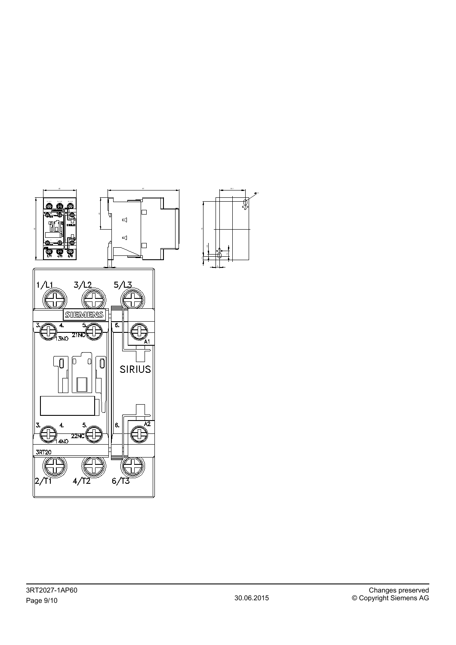